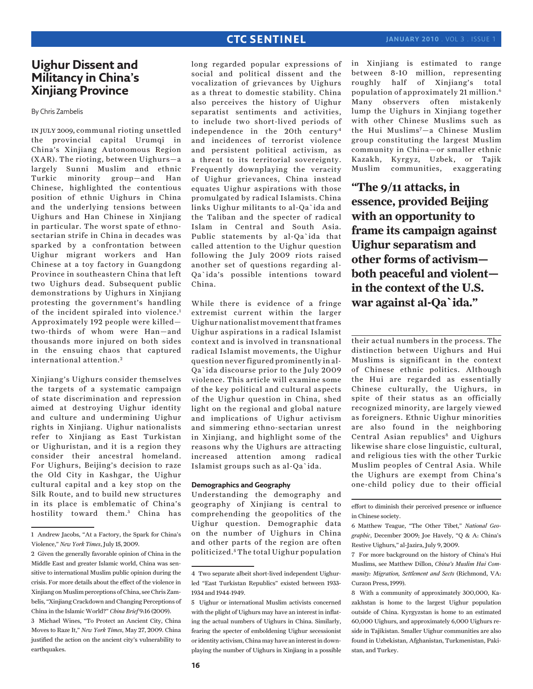# **Uighur Dissent and Militancy in China's Xinjiang Province**

By Chris Zambelis

in july 2009, communal rioting unsettled the provincial capital Urumqi in China's Xinjiang Autonomous Region (XAR). The rioting, between Uighurs—a largely Sunni Muslim and ethnic Turkic minority group—and Han Chinese, highlighted the contentious position of ethnic Uighurs in China and the underlying tensions between Uighurs and Han Chinese in Xinjiang in particular. The worst spate of ethnosectarian strife in China in decades was sparked by a confrontation between Uighur migrant workers and Han Chinese at a toy factory in Guangdong Province in southeastern China that left two Uighurs dead. Subsequent public demonstrations by Uighurs in Xinjiang protesting the government's handling of the incident spiraled into violence.<sup>1</sup> Approximately 192 people were killed two-thirds of whom were Han—and thousands more injured on both sides in the ensuing chaos that captured international attention.<sup>2</sup>

Xinjiang's Uighurs consider themselves the targets of a systematic campaign of state discrimination and repression aimed at destroying Uighur identity and culture and undermining Uighur rights in Xinjiang. Uighur nationalists refer to Xinjiang as East Turkistan or Uighuristan, and it is a region they consider their ancestral homeland. For Uighurs, Beijing's decision to raze the Old City in Kashgar, the Uighur cultural capital and a key stop on the Silk Route, and to build new structures in its place is emblematic of China's hostility toward them.<sup>3</sup> China has

long regarded popular expressions of social and political dissent and the vocalization of grievances by Uighurs as a threat to domestic stability. China also perceives the history of Uighur separatist sentiments and activities, to include two short-lived periods of independence in the 20th century4 and incidences of terrorist violence and persistent political activism, as a threat to its territorial sovereignty. Frequently downplaying the veracity of Uighur grievances, China instead equates Uighur aspirations with those promulgated by radical Islamists. China links Uighur militants to al-Qa`ida and the Taliban and the specter of radical Islam in Central and South Asia. Public statements by al-Qa`ida that called attention to the Uighur question following the July 2009 riots raised another set of questions regarding al-Qa`ida's possible intentions toward China.

While there is evidence of a fringe extremist current within the larger Uighur nationalist movement that frames Uighur aspirations in a radical Islamist context and is involved in transnational radical Islamist movements, the Uighur question never figured prominently in al-Qa`ida discourse prior to the July 2009 violence. This article will examine some of the key political and cultural aspects of the Uighur question in China, shed light on the regional and global nature and implications of Uighur activism and simmering ethno-sectarian unrest in Xinjiang, and highlight some of the reasons why the Uighurs are attracting increased attention among radical Islamist groups such as al-Qa`ida.

### **Demographics and Geography**

Understanding the demography and geography of Xinjiang is central to comprehending the geopolitics of the Uighur question. Demographic data on the number of Uighurs in China and other parts of the region are often politicized. <sup>5</sup> The total Uighur population in Xinjiang is estimated to range between 8-10 million, representing roughly half of Xinjiang's total population of approximately 21 million.6 Many observers often mistakenly lump the Uighurs in Xinjiang together with other Chinese Muslims such as the Hui Muslims<sup>7</sup>-a Chinese Muslim group constituting the largest Muslim community in China—or smaller ethnic Kazakh, Kyrgyz, Uzbek, or Tajik Muslim communities, exaggerating

**"The 9/11 attacks, in essence, provided Beijing with an opportunity to frame its campaign against Uighur separatism and other forms of activism both peaceful and violent in the context of the U.S. war against al-Qa`ida."**

their actual numbers in the process. The distinction between Uighurs and Hui Muslims is significant in the context of Chinese ethnic politics. Although the Hui are regarded as essentially Chinese culturally, the Uighurs, in spite of their status as an officially recognized minority, are largely viewed as foreigners. Ethnic Uighur minorities are also found in the neighboring Central Asian republics<sup>8</sup> and Uighurs likewise share close linguistic, cultural, and religious ties with the other Turkic Muslim peoples of Central Asia. While the Uighurs are exempt from China's one-child policy due to their official

<sup>1</sup> Andrew Jacobs, "At a Factory, the Spark for China's Violence," *New York Times*, July 15, 2009.

<sup>2</sup> Given the generally favorable opinion of China in the Middle East and greater Islamic world, China was sensitive to international Muslim public opinion during the crisis. For more details about the effect of the violence in Xinjiang on Muslim perceptions of China, see Chris Zambelis, "Xinjiang Crackdown and Changing Perceptions of China in the Islamic World?" *China Brief* 9:16 (2009).

<sup>3</sup> Michael Wines, "To Protect an Ancient City, China Moves to Raze It," *New York Times*, May 27, 2009. China justified the action on the ancient city's vulnerability to earthquakes.

<sup>4</sup> Two separate albeit short-lived independent Uighurled "East Turkistan Republics" existed between 1933- 1934 and 1944-1949.

<sup>5</sup> Uighur or international Muslim activists concerned with the plight of Uighurs may have an interest in inflating the actual numbers of Uighurs in China. Similarly, fearing the specter of emboldening Uighur secessionist or identity activism, China may have an interest in downplaying the number of Uighurs in Xinjiang in a possible

effort to diminish their perceived presence or influence in Chinese society.

<sup>6</sup> Matthew Teague, "The Other Tibet," *National Geographic*, December 2009; Joe Havely, "Q & A: China's Restive Uighurs," al-Jazira, July 9, 2009.

<sup>7</sup> For more background on the history of China's Hui Muslims, see Matthew Dillon, *China's Muslim Hui Community: Migration, Settlement and Sects* (Richmond, VA: Curzon Press, 1999).

<sup>8</sup> With a community of approximately 300,000, Kazakhstan is home to the largest Uighur population outside of China. Kyrgyzstan is home to an estimated 60,000 Uighurs, and approximately 6,000 Uighurs reside in Tajikistan. Smaller Uighur communities are also found in Uzbekistan, Afghanistan, Turkmenistan, Pakistan, and Turkey.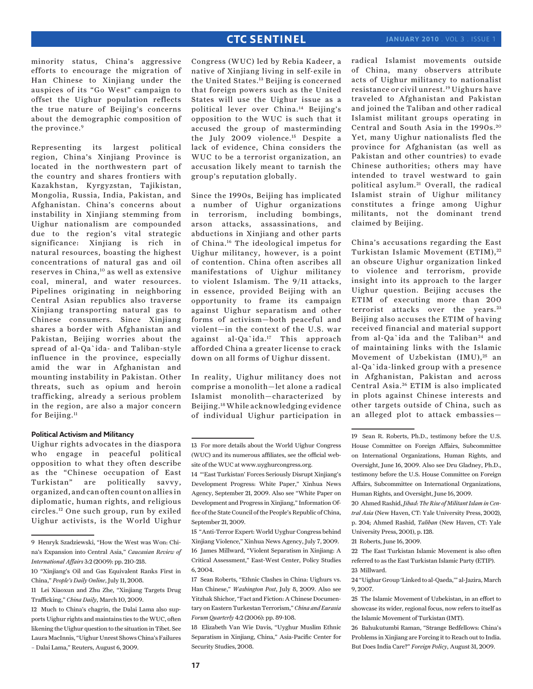minority status, China's aggressive efforts to encourage the migration of Han Chinese to Xinjiang under the auspices of its "Go West" campaign to offset the Uighur population reflects the true nature of Beijing's concerns about the demographic composition of the province.<sup>9</sup>

Representing its largest political region, China's Xinjiang Province is located in the northwestern part of the country and shares frontiers with Kazakhstan, Kyrgyzstan, Tajikistan, Mongolia, Russia, India, Pakistan, and Afghanistan. China's concerns about instability in Xinjiang stemming from Uighur nationalism are compounded due to the region's vital strategic significance: Xinjiang is rich in natural resources, boasting the highest concentrations of natural gas and oil reserves in China,10 as well as extensive coal, mineral, and water resources. Pipelines originating in neighboring Central Asian republics also traverse Xinjiang transporting natural gas to Chinese consumers. Since Xinjiang shares a border with Afghanistan and Pakistan, Beijing worries about the spread of al-Qa`ida- and Taliban-style influence in the province, especially amid the war in Afghanistan and mounting instability in Pakistan. Other threats, such as opium and heroin trafficking, already a serious problem in the region, are also a major concern for Beijing.<sup>11</sup>

#### **Political Activism and Militancy**

Uighur rights advocates in the diaspora who engage in peaceful political opposition to what they often describe as the "Chinese occupation of East Turkistan" are politically savvy, organized, and can often count on allies in diplomatic, human rights, and religious circles.12 One such group, run by exiled Uighur activists, is the World Uighur

Congress (WUC) led by Rebia Kadeer, a native of Xinjiang living in self-exile in the United States.<sup>13</sup> Beijing is concerned that foreign powers such as the United States will use the Uighur issue as a political lever over China.14 Beijing's opposition to the WUC is such that it accused the group of masterminding the July 2009 violence.<sup>15</sup> Despite a lack of evidence, China considers the WUC to be a terrorist organization, an accusation likely meant to tarnish the group's reputation globally.

Since the 1990s, Beijing has implicated a number of Uighur organizations in terrorism, including bombings, arson attacks, assassinations, and abductions in Xinjiang and other parts of China.16 The ideological impetus for Uighur militancy, however, is a point of contention. China often ascribes all manifestations of Uighur militancy to violent Islamism. The 9/11 attacks, in essence, provided Beijing with an opportunity to frame its campaign against Uighur separatism and other forms of activism—both peaceful and violent—in the context of the U.S. war against al-Qa`ida.17 This approach afforded China a greater license to crack down on all forms of Uighur dissent.

In reality, Uighur militancy does not comprise a monolith—let alone a radical Islamist monolith—characterized by Beijing.18 While acknowledging evidence of individual Uighur participation in

radical Islamist movements outside of China, many observers attribute acts of Uighur militancy to nationalist resistance or civil unrest.19 Uighurs have traveled to Afghanistan and Pakistan and joined the Taliban and other radical Islamist militant groups operating in Central and South Asia in the 1990s. <sup>20</sup> Yet, many Uighur nationalists fled the province for Afghanistan (as well as Pakistan and other countries) to evade Chinese authorities; others may have intended to travel westward to gain political asylum. 21 Overall, the radical Islamist strain of Uighur militancy constitutes a fringe among Uighur militants, not the dominant trend claimed by Beijing.

China's accusations regarding the East Turkistan Islamic Movement (ETIM),<sup>22</sup> an obscure Uighur organization linked to violence and terrorism, provide insight into its approach to the larger Uighur question. Beijing accuses the ETIM of executing more than 200 terrorist attacks over the years.<sup>23</sup> Beijing also accuses the ETIM of having received financial and material support from al-Qa'ida and the Taliban $24$  and of maintaining links with the Islamic Movement of Uzbekistan (IMU),<sup>25</sup> an al-Qa`ida-linked group with a presence in Afghanistan, Pakistan and across Central Asia. 26 ETIM is also implicated in plots against Chinese interests and other targets outside of China, such as an alleged plot to attack embassies—

20 Ahmed Rashid, *Jihad: The Rise of Militant Islam in Central Asia* (New Haven, CT: Yale University Press, 2002), p. 204; Ahmed Rashid, *Taliban* (New Haven, CT: Yale University Press, 2001), p. 128.

22 The East Turkistan Islamic Movement is also often referred to as the East Turkistan Islamic Party (ETIP). 23 Millward.

24 "Uighur Group 'Linked to al-Qaeda,'" al-Jazira, March 9, 2007.

26 Bahukutumbi Raman, "Strange Bedfellows: China's Problems in Xinjiang are Forcing it to Reach out to India. But Does India Care?" *Foreign Policy*, August 31, 2009.

<sup>9</sup> Henryk Szadziewski, "How the West was Won: China's Expansion into Central Asia," *Caucasian Review of International Affairs* 3:2 (2009): pp. 210-218.

<sup>10 &</sup>quot;Xinjiang's Oil and Gas Equivalent Ranks First in China," *People's Daily Online*, July 11, 2008.

<sup>11</sup> Lei Xiaoxun and Zhu Zhe, "Xinjiang Targets Drug Trafficking," *China Daily*, March 10, 2009.

<sup>12</sup> Much to China's chagrin, the Dalai Lama also supports Uighur rights and maintains ties to the WUC, often likening the Uighur question to the situation in Tibet. See Laura MacInnis, "Uighur Unrest Shows China's Failures – Dalai Lama," Reuters, August 6, 2009.

<sup>13</sup> For more details about the World Uighur Congress (WUC) and its numerous affiliates, see the official website of the WUC at www.uyghurcongress.org.

<sup>14 &</sup>quot;'East Turkistan' Forces Seriously Disrupt Xinjiang's Development Progress: White Paper," Xinhua News Agency, September 21, 2009. Also see "White Paper on Development and Progress in Xinjiang," Information Office of the State Council of the People's Republic of China, September 21, 2009.

<sup>15 &</sup>quot;Anti-Terror Expert: World Uyghur Congress behind Xinjiang Violence," Xinhua News Agency, July 7, 2009. 16 James Millward, "Violent Separatism in Xinjiang: A Critical Assessment," East-West Center, Policy Studies 6, 2004.

<sup>17</sup> Sean Roberts, "Ethnic Clashes in China: Uighurs vs. Han Chinese," *Washington Post*, July 8, 2009. Also see Yitzhak Shichor, "Fact and Fiction: A Chinese Documentary on Eastern Turkestan Terrorism," *China and Eurasia Forum Quarterly* 4:2 (2006): pp. 89-108.

<sup>18</sup> Elizabeth Van Wie Davis, "Uyghur Muslim Ethnic Separatism in Xinjiang, China," Asia-Pacific Center for Security Studies, 2008.

<sup>19</sup> Sean R. Roberts, Ph.D., testimony before the U.S. House Committee on Foreign Affairs, Subcommittee on International Organizations, Human Rights, and Oversight, June 16, 2009. Also see Dru Gladney, Ph.D., testimony before the U.S. House Committee on Foreign Affairs, Subcommittee on International Organizations, Human Rights, and Oversight, June 16, 2009.

<sup>21</sup> Roberts, June 16, 2009.

<sup>25</sup> The Islamic Movement of Uzbekistan, in an effort to showcase its wider, regional focus, now refers to itself as the Islamic Movement of Turkistan (IMT).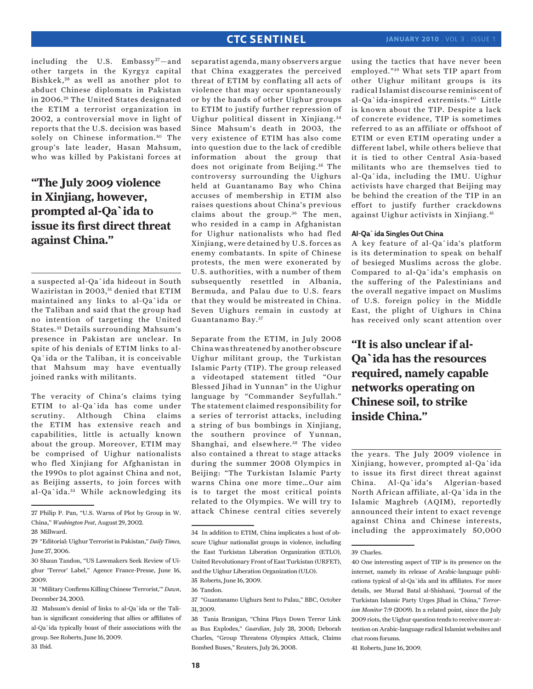including the U.S. Embassy<sup>27</sup>-and other targets in the Kyrgyz capital Bishkek, 28 as well as another plot to abduct Chinese diplomats in Pakistan in 2006. 29 The United States designated the ETIM a terrorist organization in 2002, a controversial move in light of reports that the U.S. decision was based solely on Chinese information.<sup>30</sup> The group's late leader, Hasan Mahsum, who was killed by Pakistani forces at

# **"The July 2009 violence in Xinjiang, however, prompted al-Qa`ida to issue its first direct threat against China."**

a suspected al-Qa`ida hideout in South Waziristan in 2003, 31 denied that ETIM maintained any links to al-Qa`ida or the Taliban and said that the group had no intention of targeting the United States. 32 Details surrounding Mahsum's presence in Pakistan are unclear. In spite of his denials of ETIM links to al-Qa`ida or the Taliban, it is conceivable that Mahsum may have eventually joined ranks with militants.

The veracity of China's claims tying ETIM to al-Qa`ida has come under scrutiny. Although China claims the ETIM has extensive reach and capabilities, little is actually known about the group. Moreover, ETIM may be comprised of Uighur nationalists who fled Xinjiang for Afghanistan in the 1990s to plot against China and not, as Beijing asserts, to join forces with al-Qa`ida. 33 While acknowledging its

separatist agenda, many observers argue that China exaggerates the perceived threat of ETIM by conflating all acts of violence that may occur spontaneously or by the hands of other Uighur groups to ETIM to justify further repression of Uighur political dissent in Xinjiang. <sup>34</sup> Since Mahsum's death in 2003, the very existence of ETIM has also come into question due to the lack of credible information about the group that does not originate from Beijing.<sup>35</sup> The controversy surrounding the Uighurs held at Guantanamo Bay who China accuses of membership in ETIM also raises questions about China's previous claims about the group.<sup>36</sup> The men, who resided in a camp in Afghanistan for Uighur nationalists who had fled Xinjiang, were detained by U.S. forces as enemy combatants. In spite of Chinese protests, the men were exonerated by U.S. authorities, with a number of them subsequently resettled in Albania, Bermuda, and Palau due to U.S. fears that they would be mistreated in China. Seven Uighurs remain in custody at Guantanamo Bay. <sup>37</sup>

Separate from the ETIM, in July 2008 China was threatened by another obscure Uighur militant group, the Turkistan Islamic Party (TIP). The group released a videotaped statement titled "Our Blessed Jihad in Yunnan" in the Uighur language by "Commander Seyfullah." The statement claimed responsibility for a series of terrorist attacks, including a string of bus bombings in Xinjiang, the southern province of Yunnan, Shanghai, and elsewhere.<sup>38</sup> The video also contained a threat to stage attacks during the summer 2008 Olympics in Beijing: "The Turkistan Islamic Party warns China one more time…Our aim is to target the most critical points related to the Olympics. We will try to attack Chinese central cities severely

using the tactics that have never been employed." 39 What sets TIP apart from other Uighur militant groups is its radical Islamist discourse reminiscent of al-Qa`ida-inspired extremists.40 Little is known about the TIP. Despite a lack of concrete evidence, TIP is sometimes referred to as an affiliate or offshoot of ETIM or even ETIM operating under a different label, while others believe that it is tied to other Central Asia-based militants who are themselves tied to al-Qa`ida, including the IMU. Uighur activists have charged that Beijing may be behind the creation of the TIP in an effort to justify further crackdowns against Uighur activists in Xinjiang.41

#### **Al-Qa`ida Singles Out China**

A key feature of al-Qa`ida's platform is its determination to speak on behalf of besieged Muslims across the globe. Compared to al-Qa`ida's emphasis on the suffering of the Palestinians and the overall negative impact on Muslims of U.S. foreign policy in the Middle East, the plight of Uighurs in China has received only scant attention over

# **"It is also unclear if al-Qa`ida has the resources required, namely capable networks operating on Chinese soil, to strike inside China."**

the years. The July 2009 violence in Xinjiang, however, prompted al-Qa`ida to issue its first direct threat against China. Al-Qa`ida's Algerian-based North African affiliate, al-Qa`ida in the Islamic Maghreb (AQIM), reportedly announced their intent to exact revenge against China and Chinese interests, including the approximately 50,000

41 Roberts, June 16, 2009.

<sup>27</sup> Philip P. Pan, "U.S. Warns of Plot by Group in W. China," *Washington Post*, August 29, 2002.

<sup>28</sup> Millward.

<sup>29 &</sup>quot;Editorial: Uighur Terrorist in Pakistan," *Daily Times,* June 27, 2006.

<sup>30</sup> Shaun Tandon, "US Lawmakers Seek Review of Uighur 'Terror' Label," Agence France-Presse, June 16, 2009.

<sup>31 &</sup>quot;Military Confirms Killing Chinese 'Terrorist,'" *Dawn*, December 24, 2003.

<sup>32</sup> Mahsum's denial of links to al-Qa`ida or the Taliban is significant considering that allies or affiliates of al-Qa`ida typically boast of their associations with the group. See Roberts, June 16, 2009. 33 Ibid.

<sup>34</sup> In addition to ETIM, China implicates a host of obscure Uighur nationalist groups in violence, including the East Turkistan Liberation Organization (ETLO), United Revolutionary Front of East Turkistan (URFET), and the Uighur Liberation Organization (ULO).

<sup>35</sup> Roberts, June 16, 2009. 36 Tandon.

<sup>37 &</sup>quot;Guantanamo Uighurs Sent to Palau," BBC, October 31, 2009.

<sup>38</sup> Tania Branigan, "China Plays Down Terror Link as Bus Explodes," *Guardian*, July 28, 2008; Deborah Charles, "Group Threatens Olympics Attack, Claims Bombed Buses," Reuters, July 26, 2008.

<sup>39</sup> Charles.

<sup>40</sup> One interesting aspect of TIP is its presence on the internet, namely its release of Arabic-language publications typical of al-Qa`ida and its affiliates. For more details, see Murad Batal al-Shishani, "Journal of the Turkistan Islamic Party Urges Jihad in China," *Terrorism Monitor* 7:9 (2009). In a related point, since the July 2009 riots, the Uighur question tends to receive more attention on Arabic-language radical Islamist websites and chat room forums.